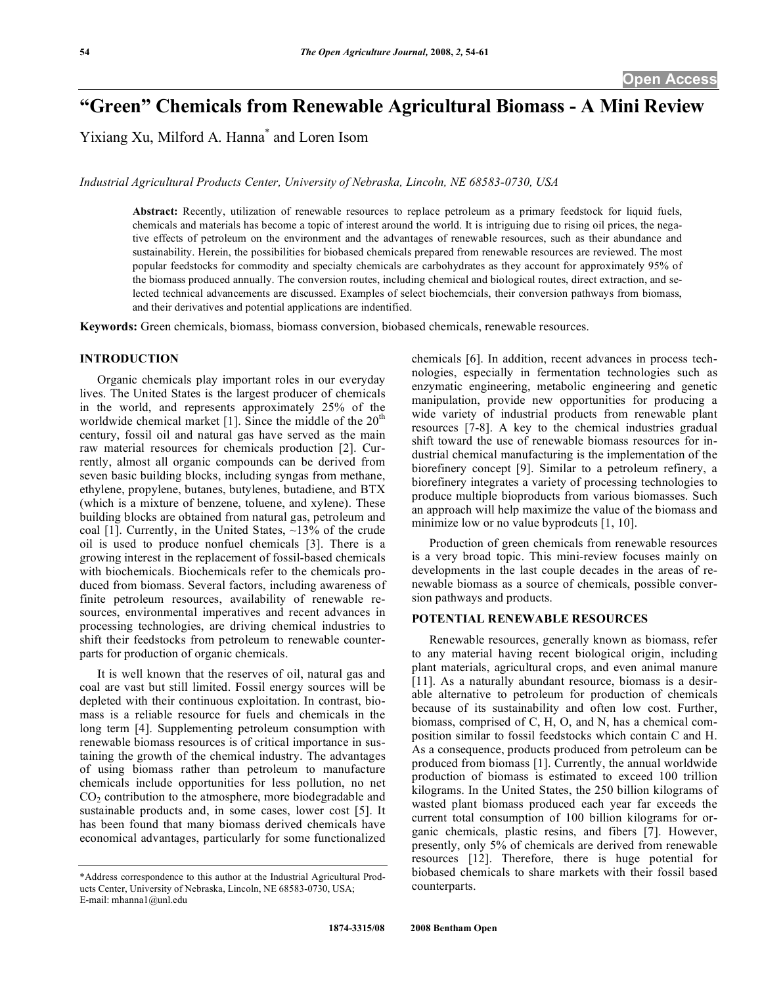# **"Green" Chemicals from Renewable Agricultural Biomass - A Mini Review**

Yixiang Xu, Milford A. Hanna\* and Loren Isom

*Industrial Agricultural Products Center, University of Nebraska, Lincoln, NE 68583-0730, USA* 

**Abstract:** Recently, utilization of renewable resources to replace petroleum as a primary feedstock for liquid fuels, chemicals and materials has become a topic of interest around the world. It is intriguing due to rising oil prices, the negative effects of petroleum on the environment and the advantages of renewable resources, such as their abundance and sustainability. Herein, the possibilities for biobased chemicals prepared from renewable resources are reviewed. The most popular feedstocks for commodity and specialty chemicals are carbohydrates as they account for approximately 95% of the biomass produced annually. The conversion routes, including chemical and biological routes, direct extraction, and selected technical advancements are discussed. Examples of select biochemcials, their conversion pathways from biomass, and their derivatives and potential applications are indentified.

**Keywords:** Green chemicals, biomass, biomass conversion, biobased chemicals, renewable resources.

### **INTRODUCTION**

 Organic chemicals play important roles in our everyday lives. The United States is the largest producer of chemicals in the world, and represents approximately 25% of the worldwide chemical market [1]. Since the middle of the  $20<sup>th</sup>$ century, fossil oil and natural gas have served as the main raw material resources for chemicals production [2]. Currently, almost all organic compounds can be derived from seven basic building blocks, including syngas from methane, ethylene, propylene, butanes, butylenes, butadiene, and BTX (which is a mixture of benzene, toluene, and xylene). These building blocks are obtained from natural gas, petroleum and coal [1]. Currently, in the United States,  $\sim$ 13% of the crude oil is used to produce nonfuel chemicals [3]. There is a growing interest in the replacement of fossil-based chemicals with biochemicals. Biochemicals refer to the chemicals produced from biomass. Several factors, including awareness of finite petroleum resources, availability of renewable resources, environmental imperatives and recent advances in processing technologies, are driving chemical industries to shift their feedstocks from petroleum to renewable counterparts for production of organic chemicals.

 It is well known that the reserves of oil, natural gas and coal are vast but still limited. Fossil energy sources will be depleted with their continuous exploitation. In contrast, biomass is a reliable resource for fuels and chemicals in the long term [4]. Supplementing petroleum consumption with renewable biomass resources is of critical importance in sustaining the growth of the chemical industry. The advantages of using biomass rather than petroleum to manufacture chemicals include opportunities for less pollution, no net  $CO<sub>2</sub>$  contribution to the atmosphere, more biodegradable and sustainable products and, in some cases, lower cost [5]. It has been found that many biomass derived chemicals have economical advantages, particularly for some functionalized

chemicals [6]. In addition, recent advances in process technologies, especially in fermentation technologies such as enzymatic engineering, metabolic engineering and genetic manipulation, provide new opportunities for producing a wide variety of industrial products from renewable plant resources [7-8]. A key to the chemical industries gradual shift toward the use of renewable biomass resources for industrial chemical manufacturing is the implementation of the biorefinery concept [9]. Similar to a petroleum refinery, a biorefinery integrates a variety of processing technologies to produce multiple bioproducts from various biomasses. Such an approach will help maximize the value of the biomass and minimize low or no value byprodcuts [1, 10].

 Production of green chemicals from renewable resources is a very broad topic. This mini-review focuses mainly on developments in the last couple decades in the areas of renewable biomass as a source of chemicals, possible conversion pathways and products.

### **POTENTIAL RENEWABLE RESOURCES**

 Renewable resources, generally known as biomass, refer to any material having recent biological origin, including plant materials, agricultural crops, and even animal manure [11]. As a naturally abundant resource, biomass is a desirable alternative to petroleum for production of chemicals because of its sustainability and often low cost. Further, biomass, comprised of C, H, O, and N, has a chemical composition similar to fossil feedstocks which contain C and H. As a consequence, products produced from petroleum can be produced from biomass [1]. Currently, the annual worldwide production of biomass is estimated to exceed 100 trillion kilograms. In the United States, the 250 billion kilograms of wasted plant biomass produced each year far exceeds the current total consumption of 100 billion kilograms for organic chemicals, plastic resins, and fibers [7]. However, presently, only 5% of chemicals are derived from renewable resources [12]. Therefore, there is huge potential for biobased chemicals to share markets with their fossil based counterparts.

<sup>\*</sup>Address correspondence to this author at the Industrial Agricultural Products Center, University of Nebraska, Lincoln, NE 68583-0730, USA; E-mail: mhanna1@unl.edu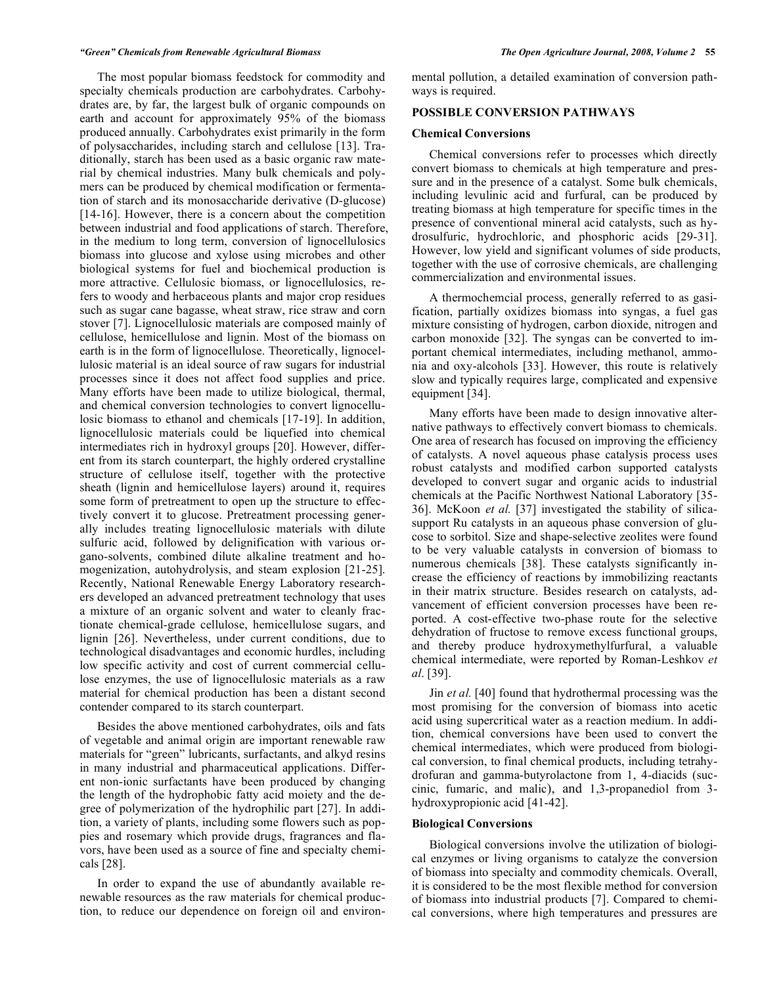#### *"Green" Chemicals from Renewable Agricultural Biomass The Open Agriculture Journal, 2008, Volume 2* **55**

 The most popular biomass feedstock for commodity and specialty chemicals production are carbohydrates. Carbohydrates are, by far, the largest bulk of organic compounds on earth and account for approximately 95% of the biomass produced annually. Carbohydrates exist primarily in the form of polysaccharides, including starch and cellulose [13]. Traditionally, starch has been used as a basic organic raw material by chemical industries. Many bulk chemicals and polymers can be produced by chemical modification or fermentation of starch and its monosaccharide derivative (D-glucose) [14-16]. However, there is a concern about the competition between industrial and food applications of starch. Therefore, in the medium to long term, conversion of lignocellulosics biomass into glucose and xylose using microbes and other biological systems for fuel and biochemical production is more attractive. Cellulosic biomass, or lignocellulosics, refers to woody and herbaceous plants and major crop residues such as sugar cane bagasse, wheat straw, rice straw and corn stover [7]. Lignocellulosic materials are composed mainly of cellulose, hemicellulose and lignin. Most of the biomass on earth is in the form of lignocellulose. Theoretically, lignocellulosic material is an ideal source of raw sugars for industrial processes since it does not affect food supplies and price. Many efforts have been made to utilize biological, thermal, and chemical conversion technologies to convert lignocellulosic biomass to ethanol and chemicals [17-19]. In addition, lignocellulosic materials could be liquefied into chemical intermediates rich in hydroxyl groups [20]. However, different from its starch counterpart, the highly ordered crystalline structure of cellulose itself, together with the protective sheath (lignin and hemicellulose layers) around it, requires some form of pretreatment to open up the structure to effectively convert it to glucose. Pretreatment processing generally includes treating lignocellulosic materials with dilute sulfuric acid, followed by delignification with various organo-solvents, combined dilute alkaline treatment and homogenization, autohydrolysis, and steam explosion [21-25]. Recently, National Renewable Energy Laboratory researchers developed an advanced pretreatment technology that uses a mixture of an organic solvent and water to cleanly fractionate chemical-grade cellulose, hemicellulose sugars, and lignin [26]. Nevertheless, under current conditions, due to technological disadvantages and economic hurdles, including low specific activity and cost of current commercial cellulose enzymes, the use of lignocellulosic materials as a raw material for chemical production has been a distant second contender compared to its starch counterpart.

 Besides the above mentioned carbohydrates, oils and fats of vegetable and animal origin are important renewable raw materials for "green" lubricants, surfactants, and alkyd resins in many industrial and pharmaceutical applications. Different non-ionic surfactants have been produced by changing the length of the hydrophobic fatty acid moiety and the degree of polymerization of the hydrophilic part [27]. In addition, a variety of plants, including some flowers such as poppies and rosemary which provide drugs, fragrances and flavors, have been used as a source of fine and specialty chemicals [28].

 In order to expand the use of abundantly available renewable resources as the raw materials for chemical production, to reduce our dependence on foreign oil and environmental pollution, a detailed examination of conversion pathways is required.

#### **POSSIBLE CONVERSION PATHWAYS**

#### **Chemical Conversions**

 Chemical conversions refer to processes which directly convert biomass to chemicals at high temperature and pressure and in the presence of a catalyst. Some bulk chemicals, including levulinic acid and furfural, can be produced by treating biomass at high temperature for specific times in the presence of conventional mineral acid catalysts, such as hydrosulfuric, hydrochloric, and phosphoric acids [29-31]. However, low yield and significant volumes of side products, together with the use of corrosive chemicals, are challenging commercialization and environmental issues.

 A thermochemcial process, generally referred to as gasification, partially oxidizes biomass into syngas, a fuel gas mixture consisting of hydrogen, carbon dioxide, nitrogen and carbon monoxide [32]. The syngas can be converted to important chemical intermediates, including methanol, ammonia and oxy-alcohols [33]. However, this route is relatively slow and typically requires large, complicated and expensive equipment [34].

 Many efforts have been made to design innovative alternative pathways to effectively convert biomass to chemicals. One area of research has focused on improving the efficiency of catalysts. A novel aqueous phase catalysis process uses robust catalysts and modified carbon supported catalysts developed to convert sugar and organic acids to industrial chemicals at the Pacific Northwest National Laboratory [35- 36]. McKoon *et al.* [37] investigated the stability of silicasupport Ru catalysts in an aqueous phase conversion of glucose to sorbitol. Size and shape-selective zeolites were found to be very valuable catalysts in conversion of biomass to numerous chemicals [38]. These catalysts significantly increase the efficiency of reactions by immobilizing reactants in their matrix structure. Besides research on catalysts, advancement of efficient conversion processes have been reported. A cost-effective two-phase route for the selective dehydration of fructose to remove excess functional groups, and thereby produce hydroxymethylfurfural, a valuable chemical intermediate, were reported by Roman-Leshkov *et al*. [39].

 Jin *et al.* [40] found that hydrothermal processing was the most promising for the conversion of biomass into acetic acid using supercritical water as a reaction medium. In addition, chemical conversions have been used to convert the chemical intermediates, which were produced from biological conversion, to final chemical products, including tetrahydrofuran and gamma-butyrolactone from 1, 4-diacids (succinic, fumaric, and malic), and 1,3-propanediol from 3 hydroxypropionic acid [41-42].

#### **Biological Conversions**

 Biological conversions involve the utilization of biological enzymes or living organisms to catalyze the conversion of biomass into specialty and commodity chemicals. Overall, it is considered to be the most flexible method for conversion of biomass into industrial products [7]. Compared to chemical conversions, where high temperatures and pressures are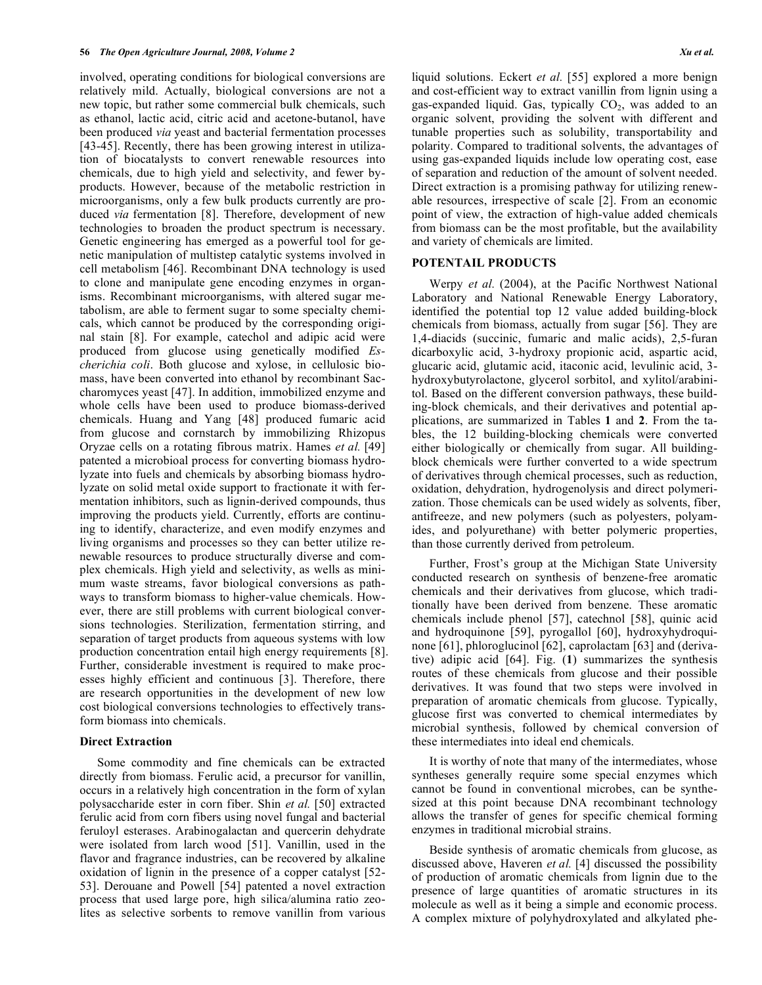involved, operating conditions for biological conversions are relatively mild. Actually, biological conversions are not a new topic, but rather some commercial bulk chemicals, such as ethanol, lactic acid, citric acid and acetone-butanol, have been produced *via* yeast and bacterial fermentation processes [43-45]. Recently, there has been growing interest in utilization of biocatalysts to convert renewable resources into chemicals, due to high yield and selectivity, and fewer byproducts. However, because of the metabolic restriction in microorganisms, only a few bulk products currently are produced *via* fermentation [8]. Therefore, development of new technologies to broaden the product spectrum is necessary. Genetic engineering has emerged as a powerful tool for genetic manipulation of multistep catalytic systems involved in cell metabolism [46]. Recombinant DNA technology is used to clone and manipulate gene encoding enzymes in organisms. Recombinant microorganisms, with altered sugar metabolism, are able to ferment sugar to some specialty chemicals, which cannot be produced by the corresponding original stain [8]. For example, catechol and adipic acid were produced from glucose using genetically modified *Escherichia coli*. Both glucose and xylose, in cellulosic biomass, have been converted into ethanol by recombinant Saccharomyces yeast [47]. In addition, immobilized enzyme and whole cells have been used to produce biomass-derived chemicals. Huang and Yang [48] produced fumaric acid from glucose and cornstarch by immobilizing Rhizopus Oryzae cells on a rotating fibrous matrix. Hames *et al.* [49] patented a microbioal process for converting biomass hydrolyzate into fuels and chemicals by absorbing biomass hydrolyzate on solid metal oxide support to fractionate it with fermentation inhibitors, such as lignin-derived compounds, thus improving the products yield. Currently, efforts are continuing to identify, characterize, and even modify enzymes and living organisms and processes so they can better utilize renewable resources to produce structurally diverse and complex chemicals. High yield and selectivity, as wells as minimum waste streams, favor biological conversions as pathways to transform biomass to higher-value chemicals. However, there are still problems with current biological conversions technologies. Sterilization, fermentation stirring, and separation of target products from aqueous systems with low production concentration entail high energy requirements [8]. Further, considerable investment is required to make processes highly efficient and continuous [3]. Therefore, there are research opportunities in the development of new low cost biological conversions technologies to effectively transform biomass into chemicals.

#### **Direct Extraction**

 Some commodity and fine chemicals can be extracted directly from biomass. Ferulic acid, a precursor for vanillin, occurs in a relatively high concentration in the form of xylan polysaccharide ester in corn fiber. Shin *et al.* [50] extracted ferulic acid from corn fibers using novel fungal and bacterial feruloyl esterases. Arabinogalactan and quercerin dehydrate were isolated from larch wood [51]. Vanillin, used in the flavor and fragrance industries, can be recovered by alkaline oxidation of lignin in the presence of a copper catalyst [52- 53]. Derouane and Powell [54] patented a novel extraction process that used large pore, high silica/alumina ratio zeolites as selective sorbents to remove vanillin from various liquid solutions. Eckert *et al.* [55] explored a more benign and cost-efficient way to extract vanillin from lignin using a gas-expanded liquid. Gas, typically  $CO<sub>2</sub>$ , was added to an organic solvent, providing the solvent with different and tunable properties such as solubility, transportability and polarity. Compared to traditional solvents, the advantages of using gas-expanded liquids include low operating cost, ease of separation and reduction of the amount of solvent needed. Direct extraction is a promising pathway for utilizing renewable resources, irrespective of scale [2]. From an economic point of view, the extraction of high-value added chemicals from biomass can be the most profitable, but the availability and variety of chemicals are limited.

#### **POTENTAIL PRODUCTS**

 Werpy *et al.* (2004), at the Pacific Northwest National Laboratory and National Renewable Energy Laboratory, identified the potential top 12 value added building-block chemicals from biomass, actually from sugar [56]. They are 1,4-diacids (succinic, fumaric and malic acids), 2,5-furan dicarboxylic acid, 3-hydroxy propionic acid, aspartic acid, glucaric acid, glutamic acid, itaconic acid, levulinic acid, 3 hydroxybutyrolactone, glycerol sorbitol, and xylitol/arabinitol. Based on the different conversion pathways, these building-block chemicals, and their derivatives and potential applications, are summarized in Tables **1** and **2**. From the tables, the 12 building-blocking chemicals were converted either biologically or chemically from sugar. All buildingblock chemicals were further converted to a wide spectrum of derivatives through chemical processes, such as reduction, oxidation, dehydration, hydrogenolysis and direct polymerization. Those chemicals can be used widely as solvents, fiber, antifreeze, and new polymers (such as polyesters, polyamides, and polyurethane) with better polymeric properties, than those currently derived from petroleum.

 Further, Frost's group at the Michigan State University conducted research on synthesis of benzene-free aromatic chemicals and their derivatives from glucose, which traditionally have been derived from benzene. These aromatic chemicals include phenol [57], catechnol [58], quinic acid and hydroquinone [59], pyrogallol [60], hydroxyhydroquinone [61], phloroglucinol [62], caprolactam [63] and (derivative) adipic acid [64]. Fig. (**1**) summarizes the synthesis routes of these chemicals from glucose and their possible derivatives. It was found that two steps were involved in preparation of aromatic chemicals from glucose. Typically, glucose first was converted to chemical intermediates by microbial synthesis, followed by chemical conversion of these intermediates into ideal end chemicals.

 It is worthy of note that many of the intermediates, whose syntheses generally require some special enzymes which cannot be found in conventional microbes, can be synthesized at this point because DNA recombinant technology allows the transfer of genes for specific chemical forming enzymes in traditional microbial strains.

 Beside synthesis of aromatic chemicals from glucose, as discussed above, Haveren *et al.* [4] discussed the possibility of production of aromatic chemicals from lignin due to the presence of large quantities of aromatic structures in its molecule as well as it being a simple and economic process. A complex mixture of polyhydroxylated and alkylated phe-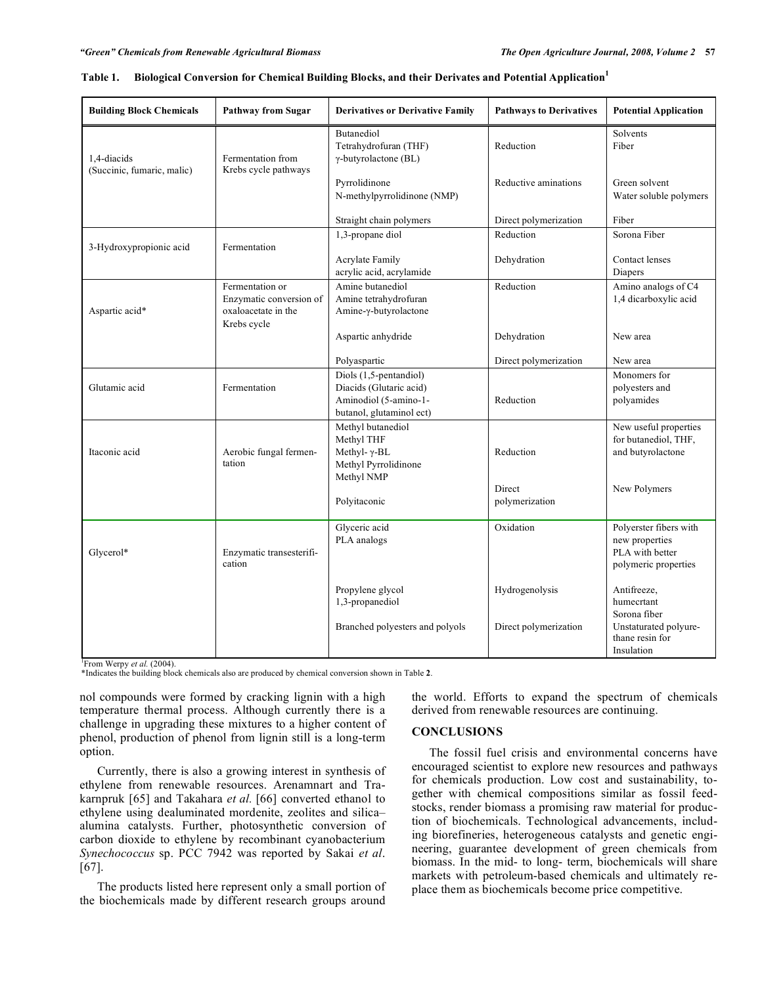| <b>Building Block Chemicals</b>                                                                                                 | <b>Pathway from Sugar</b>                                                        | <b>Derivatives or Derivative Family</b>                                                                | <b>Pathways to Derivatives</b> | <b>Potential Application</b>                                                        |  |  |
|---------------------------------------------------------------------------------------------------------------------------------|----------------------------------------------------------------------------------|--------------------------------------------------------------------------------------------------------|--------------------------------|-------------------------------------------------------------------------------------|--|--|
| 1.4-diacids<br>(Succinic, fumaric, malic)                                                                                       | Fermentation from<br>Krebs cycle pathways                                        | Butanediol<br>Tetrahydrofuran (THF)<br>$\gamma$ -butyrolactone (BL)                                    | Reduction                      | Solvents<br>Fiber                                                                   |  |  |
|                                                                                                                                 |                                                                                  | Pyrrolidinone<br>N-methylpyrrolidinone (NMP)                                                           | Reductive aminations           | Green solvent<br>Water soluble polymers                                             |  |  |
|                                                                                                                                 |                                                                                  | Straight chain polymers                                                                                | Direct polymerization          | Fiber                                                                               |  |  |
| 3-Hydroxypropionic acid                                                                                                         | Fermentation                                                                     | 1,3-propane diol                                                                                       | Reduction                      | Sorona Fiber                                                                        |  |  |
|                                                                                                                                 |                                                                                  | <b>Acrylate Family</b><br>acrylic acid, acrylamide                                                     | Dehydration                    | Contact lenses<br>Diapers                                                           |  |  |
| Aspartic acid*                                                                                                                  | Fermentation or<br>Enzymatic conversion of<br>oxaloacetate in the<br>Krebs cycle | Amine butanediol<br>Amine tetrahydrofuran<br>Amine-γ-butyrolactone                                     | Reduction                      | Amino analogs of C4<br>1,4 dicarboxylic acid                                        |  |  |
|                                                                                                                                 |                                                                                  | Aspartic anhydride                                                                                     | Dehydration                    | New area                                                                            |  |  |
|                                                                                                                                 |                                                                                  | Polyaspartic                                                                                           | Direct polymerization          | New area                                                                            |  |  |
| Glutamic acid                                                                                                                   | Fermentation                                                                     | Diols (1,5-pentandiol)<br>Diacids (Glutaric acid)<br>Aminodiol (5-amino-1-<br>butanol, glutaminol ect) | Reduction                      | Monomers for<br>polyesters and<br>polyamides                                        |  |  |
| Itaconic acid                                                                                                                   | Aerobic fungal fermen-<br>tation                                                 | Methyl butanediol<br>Methyl THF<br>Methyl- $\gamma$ -BL<br>Methyl Pyrrolidinone                        | Reduction                      | New useful properties<br>for butanediol, THF,<br>and butyrolactone                  |  |  |
|                                                                                                                                 |                                                                                  | Methyl NMP<br>Polyitaconic                                                                             | Direct<br>polymerization       | New Polymers                                                                        |  |  |
| Glycerol*                                                                                                                       | Enzymatic transesterifi-<br>cation                                               | Glyceric acid<br>PLA analogs                                                                           | Oxidation                      | Polyerster fibers with<br>new properties<br>PLA with better<br>polymeric properties |  |  |
|                                                                                                                                 |                                                                                  | Propylene glycol<br>1,3-propanediol                                                                    | Hydrogenolysis                 | Antifreeze,<br>humecrtant<br>Sorona fiber                                           |  |  |
|                                                                                                                                 |                                                                                  | Branched polyesters and polyols                                                                        | Direct polymerization          | Unstaturated polyure-<br>thane resin for<br>Insulation                              |  |  |
| From Werpy et al. (2004).<br>*Indicates the building block chemicals also are produced by chemical conversion shown in Table 2. |                                                                                  |                                                                                                        |                                |                                                                                     |  |  |

| Table 1. | Biological Conversion for Chemical Building Blocks, and their Derivates and Potential Application |  |  |
|----------|---------------------------------------------------------------------------------------------------|--|--|
|          |                                                                                                   |  |  |

nol compounds were formed by cracking lignin with a high temperature thermal process. Although currently there is a challenge in upgrading these mixtures to a higher content of phenol, production of phenol from lignin still is a long-term option.

 Currently, there is also a growing interest in synthesis of ethylene from renewable resources. Arenamnart and Trakarnpruk [65] and Takahara *et al.* [66] converted ethanol to ethylene using dealuminated mordenite, zeolites and silica– alumina catalysts. Further, photosynthetic conversion of carbon dioxide to ethylene by recombinant cyanobacterium *Synechococcus* sp. PCC 7942 was reported by Sakai *et al*. [67].

 The products listed here represent only a small portion of the biochemicals made by different research groups around

the world. Efforts to expand the spectrum of chemicals derived from renewable resources are continuing.

#### **CONCLUSIONS**

 The fossil fuel crisis and environmental concerns have encouraged scientist to explore new resources and pathways for chemicals production. Low cost and sustainability, together with chemical compositions similar as fossil feedstocks, render biomass a promising raw material for production of biochemicals. Technological advancements, including biorefineries, heterogeneous catalysts and genetic engineering, guarantee development of green chemicals from biomass. In the mid- to long- term, biochemicals will share markets with petroleum-based chemicals and ultimately replace them as biochemicals become price competitive.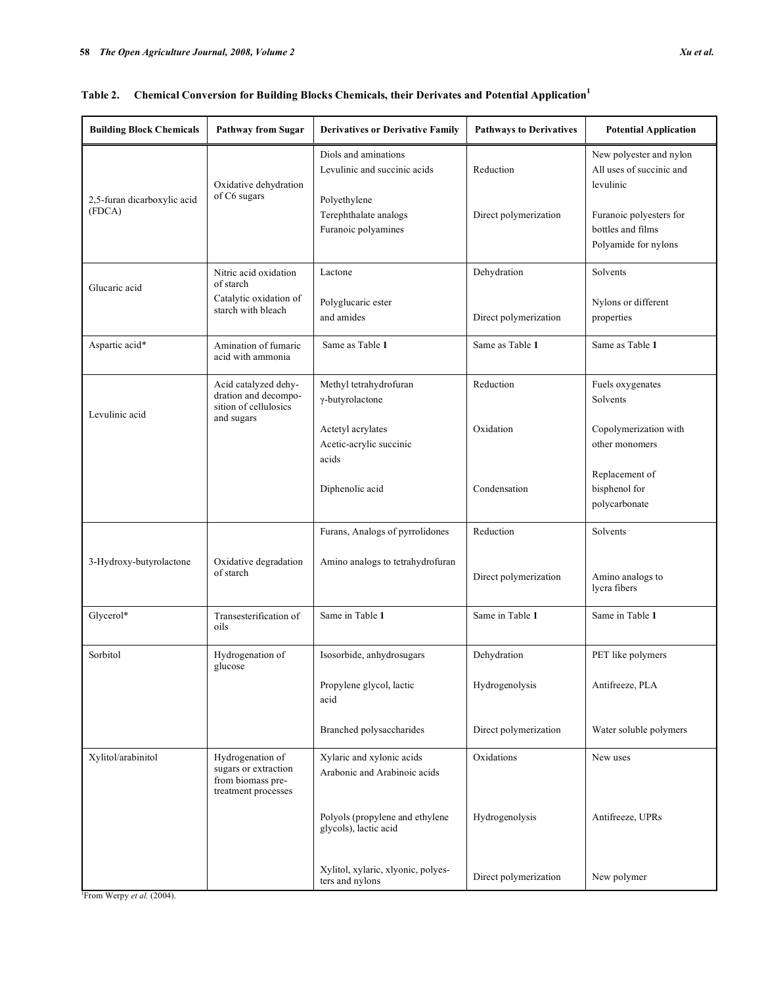| <b>Building Block Chemicals</b>       | Pathway from Sugar                                                                   | <b>Derivatives or Derivative Family</b>                      | <b>Pathways to Derivatives</b> | <b>Potential Application</b>                                         |
|---------------------------------------|--------------------------------------------------------------------------------------|--------------------------------------------------------------|--------------------------------|----------------------------------------------------------------------|
| 2,5-furan dicarboxylic acid<br>(FDCA) | Oxidative dehydration<br>of C6 sugars                                                | Diols and aminations<br>Levulinic and succinic acids         | Reduction                      | New polyester and nylon<br>All uses of succinic and<br>levulinic     |
|                                       |                                                                                      | Polyethylene<br>Terephthalate analogs<br>Furanoic polyamines | Direct polymerization          | Furanoic polyesters for<br>bottles and films<br>Polyamide for nylons |
| Glucaric acid                         | Nitric acid oxidation<br>of starch                                                   | Lactone                                                      | Dehydration                    | Solvents                                                             |
|                                       | Catalytic oxidation of<br>starch with bleach                                         | Polyglucaric ester<br>and amides                             | Direct polymerization          | Nylons or different<br>properties                                    |
| Aspartic acid*                        | Amination of fumaric<br>acid with ammonia                                            | Same as Table 1                                              | Same as Table 1                | Same as Table 1                                                      |
| Levulinic acid                        | Acid catalyzed dehy-<br>dration and decompo-<br>sition of cellulosics<br>and sugars  | Methyl tetrahydrofuran<br>$\gamma$ -butyrolactone            | Reduction                      | Fuels oxygenates<br>Solvents                                         |
|                                       |                                                                                      | Actetyl acrylates<br>Acetic-acrylic succinic<br>acids        | Oxidation                      | Copolymerization with<br>other monomers                              |
|                                       |                                                                                      | Diphenolic acid                                              | Condensation                   | Replacement of<br>bisphenol for<br>polycarbonate                     |
|                                       |                                                                                      | Furans, Analogs of pyrrolidones                              | Reduction                      | Solvents                                                             |
| 3-Hydroxy-butyrolactone               | Oxidative degradation<br>of starch                                                   | Amino analogs to tetrahydrofuran                             | Direct polymerization          | Amino analogs to<br>lycra fibers                                     |
| Glycerol*                             | Transesterification of<br>oils                                                       | Same in Table 1                                              | Same in Table 1                | Same in Table 1                                                      |
| Sorbitol                              | Hydrogenation of<br>glucose                                                          | Isosorbide, anhydrosugars                                    | Dehydration                    | PET like polymers                                                    |
|                                       |                                                                                      | Propylene glycol, lactic<br>acid                             | Hydrogenolysis                 | Antifreeze, PLA                                                      |
|                                       |                                                                                      | Branched polysaccharides                                     | Direct polymerization          | Water soluble polymers                                               |
| Xylitol/arabinitol                    | Hydrogenation of<br>sugars or extraction<br>from biomass pre-<br>treatment processes | Xylaric and xylonic acids<br>Arabonic and Arabinoic acids    | Oxidations                     | New uses                                                             |
|                                       |                                                                                      | Polyols (propylene and ethylene<br>glycols), lactic acid     | Hydrogenolysis                 | Antifreeze, UPRs                                                     |
|                                       |                                                                                      | Xylitol, xylaric, xlyonic, polyes-<br>ters and nylons        | Direct polymerization          | New polymer                                                          |

## **Table 2. Chemical Conversion for Building Blocks Chemicals, their Derivates and Potential Application<sup>1</sup>**

1 From Werpy *et al.* (2004).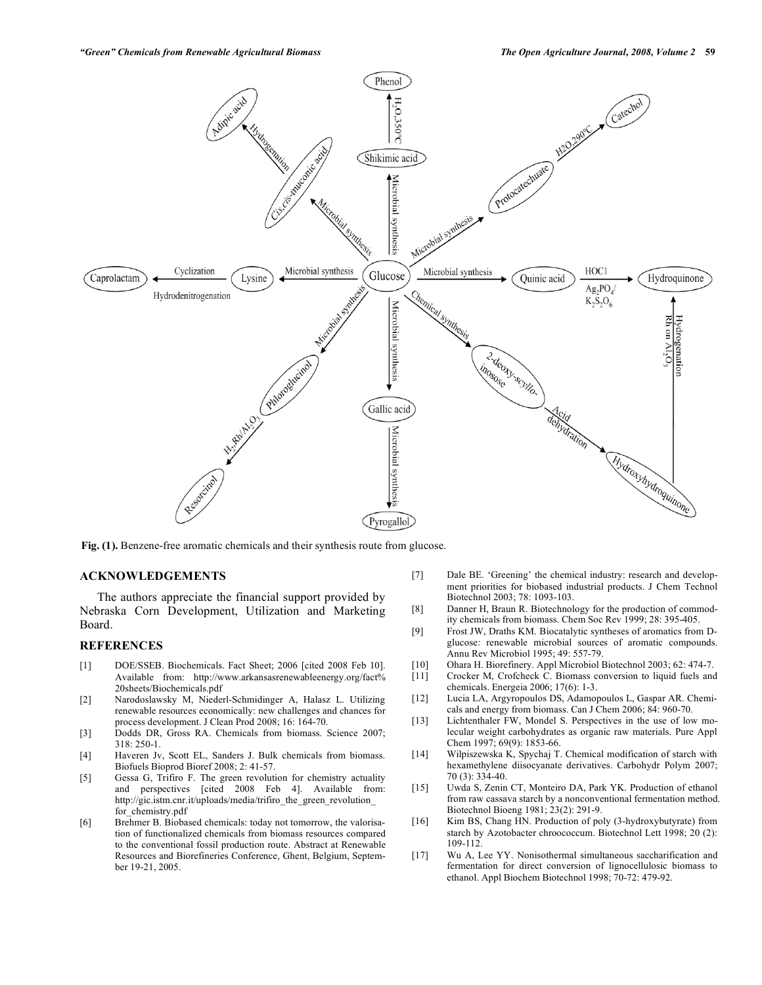

**Fig. (1).** Benzene-free aromatic chemicals and their synthesis route from glucose.

#### **ACKNOWLEDGEMENTS**

 The authors appreciate the financial support provided by Nebraska Corn Development, Utilization and Marketing Board.

#### **REFERENCES**

- [1] DOE/SSEB. Biochemicals. Fact Sheet; 2006 [cited 2008 Feb 10]. Available from: http://www.arkansasrenewableenergy.org/fact% 20sheets/Biochemicals.pdf
- [2] Narodoslawsky M, Niederl-Schmidinger A, Halasz L. Utilizing renewable resources economically: new challenges and chances for process development. J Clean Prod 2008; 16: 164-70.
- [3] Dodds DR, Gross RA. Chemicals from biomass. Science 2007; 318: 250-1.
- [4] Haveren Jv, Scott EL, Sanders J. Bulk chemicals from biomass. Biofuels Bioprod Bioref 2008; 2: 41-57.
- [5] Gessa G, Trifiro F. The green revolution for chemistry actuality and perspectives [cited 2008 Feb 4]. Available from: http://gic.istm.cnr.it/uploads/media/trifiro\_the\_green\_revolution\_ for chemistry.pdf
- [6] Brehmer B. Biobased chemicals: today not tomorrow, the valorisation of functionalized chemicals from biomass resources compared to the conventional fossil production route. Abstract at Renewable Resources and Biorefineries Conference, Ghent, Belgium, September 19-21, 2005.
- [7] Dale BE. 'Greening' the chemical industry: research and development priorities for biobased industrial products. J Chem Technol Biotechnol 2003; 78: 1093-103.
- [8] Danner H, Braun R. Biotechnology for the production of commodity chemicals from biomass. Chem Soc Rev 1999; 28: 395-405.
- [9] Frost JW, Draths KM. Biocatalytic syntheses of aromatics from Dglucose: renewable microbial sources of aromatic compounds. Annu Rev Microbiol 1995; 49: 557-79.
- [10] Ohara H. Biorefinery. Appl Microbiol Biotechnol 2003; 62: 474-7.
- Crocker M, Crofcheck C. Biomass conversion to liquid fuels and chemicals. Energeia 2006; 17(6): 1-3.
- [12] Lucia LA, Argyropoulos DS, Adamopoulos L, Gaspar AR. Chemicals and energy from biomass. Can J Chem 2006; 84: 960-70.
- [13] Lichtenthaler FW, Mondel S. Perspectives in the use of low molecular weight carbohydrates as organic raw materials. Pure Appl Chem 1997; 69(9): 1853-66.
- [14] Wilpiszewska K, Spychaj T. Chemical modification of starch with hexamethylene diisocyanate derivatives. Carbohydr Polym 2007; 70 (3): 334-40.
- [15] Uwda S, Zenin CT, Monteiro DA, Park YK. Production of ethanol from raw cassava starch by a nonconventional fermentation method. Biotechnol Bioeng 1981; 23(2): 291-9.
- [16] Kim BS, Chang HN. Production of poly (3-hydroxybutyrate) from starch by Azotobacter chroococcum. Biotechnol Lett 1998; 20 (2): 109-112.
- [17] Wu A, Lee YY. Nonisothermal simultaneous saccharification and fermentation for direct conversion of lignocellulosic biomass to ethanol. Appl Biochem Biotechnol 1998; 70-72: 479-92.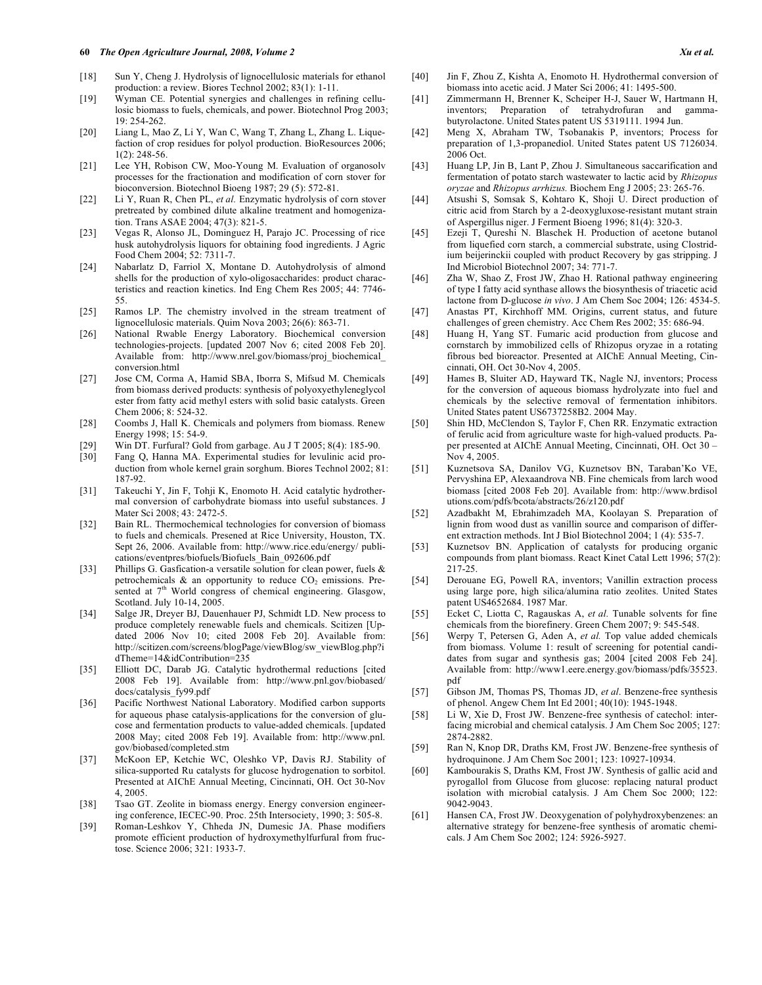#### **60** *The Open Agriculture Journal, 2008, Volume 2 Xu et al.*

- [18] Sun Y, Cheng J. Hydrolysis of lignocellulosic materials for ethanol production: a review. Biores Technol 2002; 83(1): 1-11.
- [19] Wyman CE. Potential synergies and challenges in refining cellulosic biomass to fuels, chemicals, and power. Biotechnol Prog 2003; 19: 254-262.
- [20] Liang L, Mao Z, Li Y, Wan C, Wang T, Zhang L, Zhang L. Liquefaction of crop residues for polyol production. BioResources 2006; 1(2): 248-56.
- [21] Lee YH, Robison CW, Moo-Young M. Evaluation of organosolv processes for the fractionation and modification of corn stover for bioconversion. Biotechnol Bioeng 1987; 29 (5): 572-81.
- [22] Li Y, Ruan R, Chen PL, *et al.* Enzymatic hydrolysis of corn stover pretreated by combined dilute alkaline treatment and homogenization. Trans ASAE 2004; 47(3): 821-5.
- [23] Vegas R, Alonso JL, Dominguez H, Parajo JC. Processing of rice husk autohydrolysis liquors for obtaining food ingredients. J Agric Food Chem 2004; 52: 7311-7.
- [24] Nabarlatz D, Farriol X, Montane D. Autohydrolysis of almond shells for the production of xylo-oligosaccharides: product characteristics and reaction kinetics. Ind Eng Chem Res 2005; 44: 7746- 55.
- [25] Ramos LP. The chemistry involved in the stream treatment of lignocellulosic materials. Quim Nova 2003; 26(6): 863-71.
- [26] National Rwable Energy Laboratory. Biochemical conversion technologies-projects. [updated 2007 Nov 6; cited 2008 Feb 20]. Available from: http://www.nrel.gov/biomass/proj\_biochemical\_ conversion.html
- [27] Jose CM, Corma A, Hamid SBA, Iborra S, Mifsud M. Chemicals from biomass derived products: synthesis of polyoxyethyleneglycol ester from fatty acid methyl esters with solid basic catalysts. Green Chem 2006; 8: 524-32.
- [28] Coombs J, Hall K. Chemicals and polymers from biomass. Renew Energy 1998; 15: 54-9.
- [29] Win DT. Furfural? Gold from garbage. Au J T 2005; 8(4): 185-90.
- Fang Q, Hanna MA. Experimental studies for levulinic acid production from whole kernel grain sorghum. Biores Technol 2002; 81: 187-92.
- [31] Takeuchi Y, Jin F, Tohji K, Enomoto H. Acid catalytic hydrothermal conversion of carbohydrate biomass into useful substances. J Mater Sci 2008; 43: 2472-5.
- [32] Bain RL. Thermochemical technologies for conversion of biomass to fuels and chemicals. Presened at Rice University, Houston, TX. Sept 26, 2006. Available from: http://www.rice.edu/energy/ publications/eventpres/biofuels/Biofuels\_Bain\_092606.pdf
- [33] Phillips G. Gasfication-a versatile solution for clean power, fuels & petrochemicals  $\&$  an opportunity to reduce  $CO<sub>2</sub>$  emissions. Presented at  $7<sup>th</sup>$  World congress of chemical engineering. Glasgow, Scotland. July 10-14, 2005.
- [34] Salge JR, Dreyer BJ, Dauenhauer PJ, Schmidt LD. New process to produce completely renewable fuels and chemicals. Scitizen [Updated 2006 Nov 10; cited 2008 Feb 20]. Available from: http://scitizen.com/screens/blogPage/viewBlog/sw\_viewBlog.php?i dTheme=14&idContribution=235
- [35] Elliott DC, Darab JG. Catalytic hydrothermal reductions [cited 2008 Feb 19]. Available from: http://www.pnl.gov/biobased/ docs/catalysis\_fy99.pdf
- [36] Pacific Northwest National Laboratory. Modified carbon supports for aqueous phase catalysis-applications for the conversion of glucose and fermentation products to value-added chemicals. [updated 2008 May; cited 2008 Feb 19]. Available from: http://www.pnl. gov/biobased/completed.stm
- [37] McKoon EP, Ketchie WC, Oleshko VP, Davis RJ. Stability of silica-supported Ru catalysts for glucose hydrogenation to sorbitol. Presented at AIChE Annual Meeting, Cincinnati, OH. Oct 30-Nov 4, 2005.
- [38] Tsao GT. Zeolite in biomass energy. Energy conversion engineering conference, IECEC-90. Proc. 25th Intersociety, 1990; 3: 505-8.
- [39] Roman-Leshkov Y, Chheda JN, Dumesic JA. Phase modifiers promote efficient production of hydroxymethylfurfural from fructose. Science 2006; 321: 1933-7.
- [40] Jin F, Zhou Z, Kishta A, Enomoto H. Hydrothermal conversion of biomass into acetic acid. J Mater Sci 2006; 41: 1495-500.
- [41] Zimmermann H, Brenner K, Scheiper H-J, Sauer W, Hartmann H, inventors; Preparation of tetrahydrofuran and gammabutyrolactone. United States patent US 5319111. 1994 Jun.
- [42] Meng X, Abraham TW, Tsobanakis P, inventors; Process for preparation of 1,3-propanediol. United States patent US 7126034. 2006 Oct.
- [43] Huang LP, Jin B, Lant P, Zhou J. Simultaneous saccarification and fermentation of potato starch wastewater to lactic acid by *Rhizopus oryzae* and *Rhizopus arrhizus.* Biochem Eng J 2005; 23: 265-76.
- [44] Atsushi S, Somsak S, Kohtaro K, Shoji U. Direct production of citric acid from Starch by a 2-deoxygluxose-resistant mutant strain of Aspergillus niger. J Ferment Bioeng 1996; 81(4): 320-3.
- [45] Ezeji T, Qureshi N. Blaschek H. Production of acetone butanol from liquefied corn starch, a commercial substrate, using Clostridium beijerinckii coupled with product Recovery by gas stripping. J Ind Microbiol Biotechnol 2007; 34: 771-7.
- [46] Zha W, Shao Z, Frost JW, Zhao H. Rational pathway engineering of type I fatty acid synthase allows the biosynthesis of triacetic acid lactone from D-glucose *in vivo*. J Am Chem Soc 2004; 126: 4534-5.
- [47] Anastas PT, Kirchhoff MM. Origins, current status, and future challenges of green chemistry. Acc Chem Res 2002; 35: 686-94.
- [48] Huang H, Yang ST. Fumaric acid production from glucose and cornstarch by immobilized cells of Rhizopus oryzae in a rotating fibrous bed bioreactor. Presented at AIChE Annual Meeting, Cincinnati, OH. Oct 30-Nov 4, 2005.
- [49] Hames B, Sluiter AD, Hayward TK, Nagle NJ, inventors; Process for the conversion of aqueous biomass hydrolyzate into fuel and chemicals by the selective removal of fermentation inhibitors. United States patent US6737258B2. 2004 May.
- [50] Shin HD, McClendon S, Taylor F, Chen RR. Enzymatic extraction of ferulic acid from agriculture waste for high-valued products. Paper presented at AIChE Annual Meeting, Cincinnati, OH. Oct 30 – Nov 4, 2005.
- [51] Kuznetsova SA, Danilov VG, Kuznetsov BN, Taraban'Ko VE, Pervyshina EP, Alexaandrova NB. Fine chemicals from larch wood biomass [cited 2008 Feb 20]. Available from: http://www.brdisol utions.com/pdfs/bcota/abstracts/26/z120.pdf
- [52] Azadbakht M, Ebrahimzadeh MA, Koolayan S. Preparation of lignin from wood dust as vanillin source and comparison of different extraction methods. Int J Biol Biotechnol 2004; 1 (4): 535-7.
- [53] Kuznetsov BN. Application of catalysts for producing organic compounds from plant biomass. React Kinet Catal Lett 1996; 57(2): 217-25.
- [54] Derouane EG, Powell RA, inventors; Vanillin extraction process using large pore, high silica/alumina ratio zeolites. United States patent US4652684. 1987 Mar.
- [55] Ecket C, Liotta C, Ragauskas A, *et al.* Tunable solvents for fine chemicals from the biorefinery. Green Chem 2007; 9: 545-548.
- [56] Werpy T, Petersen G, Aden A, *et al.* Top value added chemicals from biomass. Volume 1: result of screening for potential candidates from sugar and synthesis gas; 2004 [cited 2008 Feb 24]. Available from: http://www1.eere.energy.gov/biomass/pdfs/35523. pdf
- [57] Gibson JM, Thomas PS, Thomas JD, *et al*. Benzene-free synthesis of phenol. Angew Chem Int Ed 2001; 40(10): 1945-1948.
- [58] Li W, Xie D, Frost JW. Benzene-free synthesis of catechol: interfacing microbial and chemical catalysis. J Am Chem Soc 2005; 127: 2874-2882.
- [59] Ran N, Knop DR, Draths KM, Frost JW. Benzene-free synthesis of hydroquinone. J Am Chem Soc 2001; 123: 10927-10934.
- [60] Kambourakis S, Draths KM, Frost JW. Synthesis of gallic acid and pyrogallol from Glucose from glucose: replacing natural product isolation with microbial catalysis. J Am Chem Soc 2000; 122: 9042-9043.
- [61] Hansen CA, Frost JW. Deoxygenation of polyhydroxybenzenes: an alternative strategy for benzene-free synthesis of aromatic chemicals. J Am Chem Soc 2002; 124: 5926-5927.